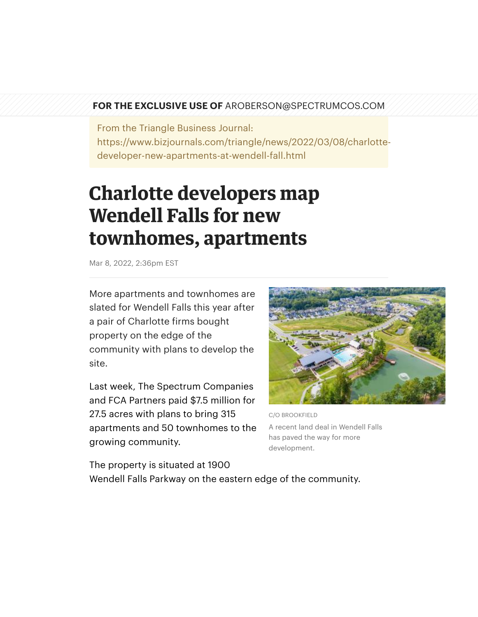## **FOR THE EXCLUSIVE USE OF** AROBERSON@SPECTRUMCOS.COM

From the Triangle Business Journal: https://www.bizjournals.com/triangle/news/2022/03/08/charlottedeveloper-new-apartments-at-wendell-fall.html

## **Charlotte developers map Wendell Falls for new townhomes, apartments**

Mar 8, 2022, 2:36pm EST

More apartments and townhomes are slated for Wendell Falls this year after a pair of Charlotte firms bought property on the edge of the community with plans to develop the site.

Last week, The Spectrum Companies and FCA Partners paid \$7.5 million for 27.5 acres with plans to bring 315 apartments and 50 townhomes to the growing community.



C/O BROOKFIELD A recent land deal in Wendell Falls has paved the way for more development.

The property is situated at 1900 Wendell Falls Parkway on the eastern edge of the community.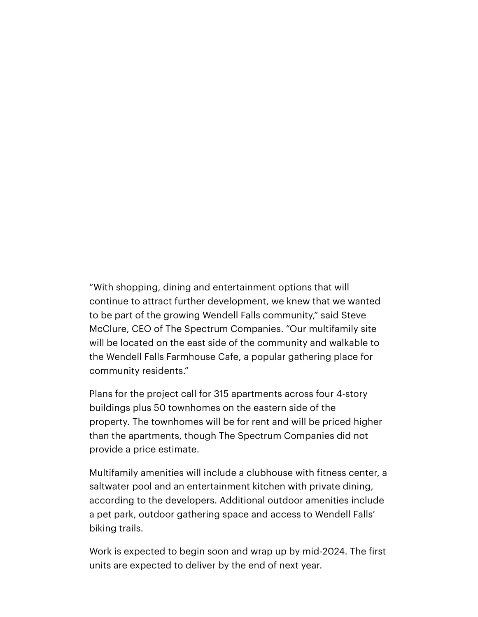"With shopping, dining and entertainment options that will continue to attract further development, we knew that we wanted to be part of the growing Wendell Falls [community,"](https://www.bizjournals.com/triangle/search/results?q=Steve%20McClure) said Steve McClure, CEO of The Spectrum Companies. "Our multifamily site will be located on the east side of the community and walkable to the Wendell Falls Farmhouse Cafe, a popular gathering place for community residents."

Plans for the project call for 315 apartments across four 4-story buildings plus 50 townhomes on the eastern side of the property. The townhomes will be for rent and will be priced higher than the apartments, though The Spectrum Companies did not provide a price estimate.

Multifamily amenities will include a clubhouse with fitness center, a saltwater pool and an entertainment kitchen with private dining, according to the developers. Additional outdoor amenities include a pet park, outdoor gathering space and access to Wendell Falls' biking trails.

Work is expected to begin soon and wrap up by mid-2024. The first units are expected to deliver by the end of next year.